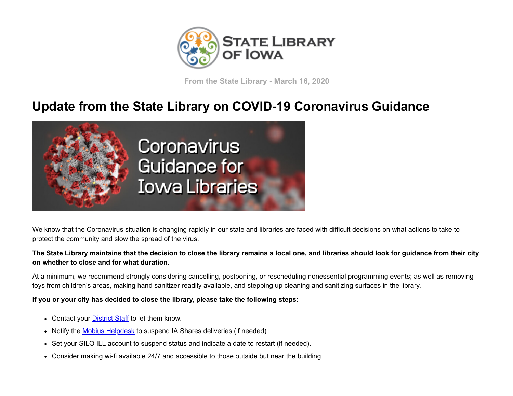

**From the State Library - March 16, 2020**

## **Update from the State Library on COVID-19 Coronavirus Guidance**



We know that the Coronavirus situation is changing rapidly in our state and libraries are faced with difficult decisions on what actions to take to protect the community and slow the spread of the virus.

## **The State Library maintains that the decision to close the library remains a local one, and libraries should look for guidance from their city on whether to close and for what duration.**

At a minimum, we recommend strongly considering cancelling, postponing, or rescheduling nonessential programming events; as well as removing toys from children's areas, making hand sanitizer readily available, and stepping up cleaning and sanitizing surfaces in the library.

## **If you or your city has decided to close the library, please take the following steps:**

- Contact your **[District Staff](https://www.statelibraryofiowa.org/contact-us/dist-offices?utm_medium=email&utm_source=govdelivery)** to let them know.
- Notify the [Mobius Helpdesk](mailto:courier@mobiusconsortium.org) to suspend IA Shares deliveries (if needed).
- Set your SILO ILL account to suspend status and indicate a date to restart (if needed).
- Consider making wi-fi available 24/7 and accessible to those outside but near the building.